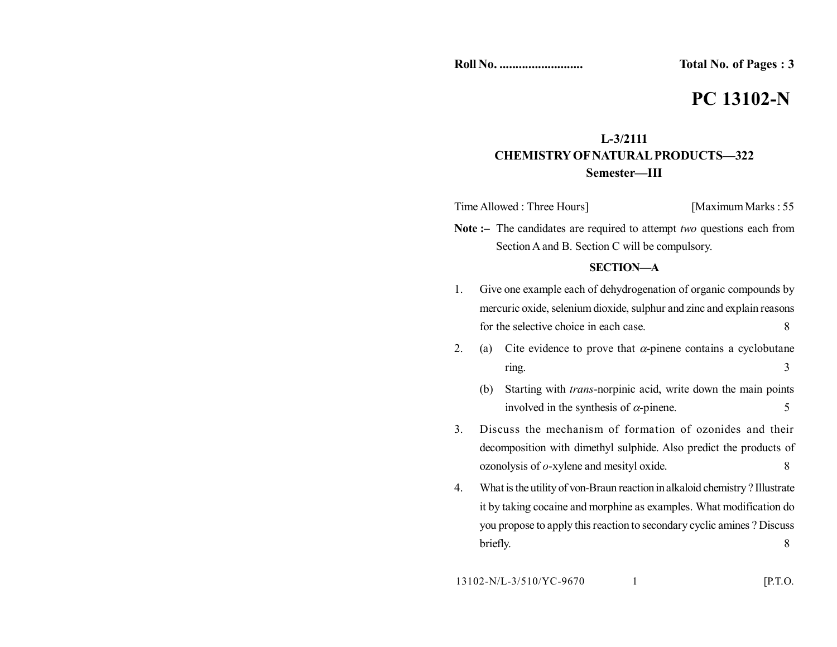**Total No. of Pages : 3** 

# **PC 13102-N**

## **L-3/2111 CHEMISTRY OF NATURAL PRODUCTS—322 Semester—III**

| Time Allowed : Three Hours] | [Maximum Marks: 55] |
|-----------------------------|---------------------|
|-----------------------------|---------------------|

**Note :–** The candidates are required to attempt *two* questions each from Section A and B. Section C will be compulsory.

## **SECTION—A**

- 1. Give one example each of dehydrogenation of organic compounds by mercuric oxide, selenium dioxide, sulphur and zinc and explain reasons for the selective choice in each case. 8
- 2. (a) Cite evidence to prove that  $\alpha$ -pinene contains a cyclobutane ring. 3
	- (b) Starting with *trans*-norpinic acid, write down the main points involved in the synthesis of  $\alpha$ -pinene. 5
- 3. Discuss the mechanism of formation of ozonides and their decomposition with dimethyl sulphide. Also predict the products of ozonolysis of *o*-xylene and mesityl oxide. 8
- 4. What is the utility of von-Braun reaction in alkaloid chemistry ? Illustrate it by taking cocaine and morphine as examples. What modification do you propose to apply this reaction to secondary cyclic amines ? Discuss briefly. 8

| $13102-N/L-3/510/YC-9670$ |  | $[$ P.T.O. |
|---------------------------|--|------------|
|---------------------------|--|------------|